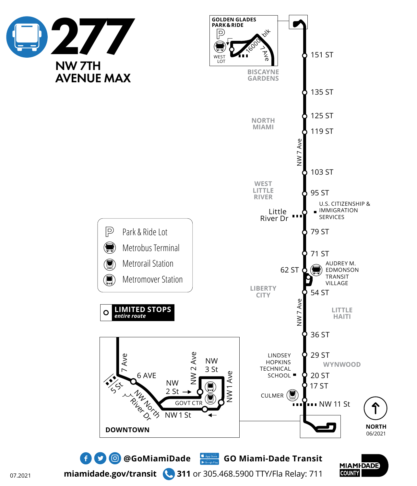



**MIAMIDADE COUNTY** 

07.2021

**miamidade.gov/transit 311** or 305.468.5900 TTY/Fla Relay: 711